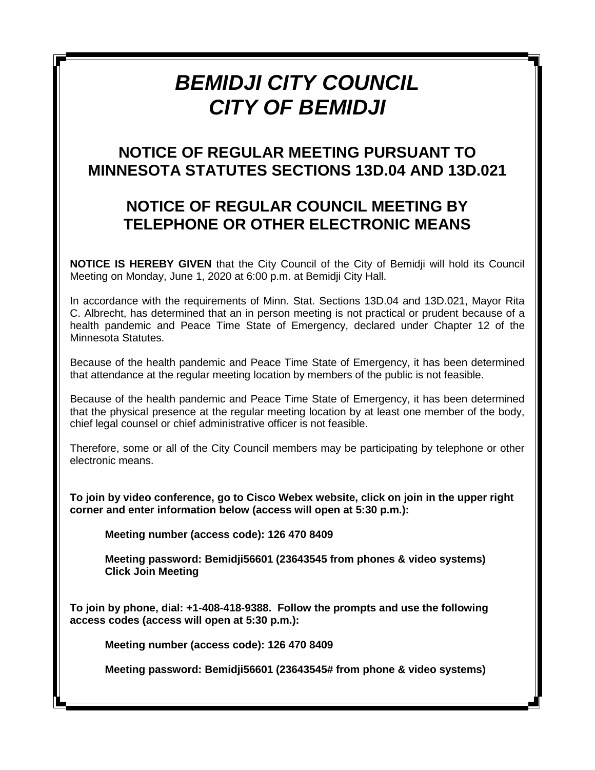# *BEMIDJI CITY COUNCIL CITY OF BEMIDJI*

## **NOTICE OF REGULAR MEETING PURSUANT TO MINNESOTA STATUTES SECTIONS 13D.04 AND 13D.021**

# **NOTICE OF REGULAR COUNCIL MEETING BY TELEPHONE OR OTHER ELECTRONIC MEANS**

**NOTICE IS HEREBY GIVEN** that the City Council of the City of Bemidji will hold its Council Meeting on Monday, June 1, 2020 at 6:00 p.m. at Bemidji City Hall.

In accordance with the requirements of Minn. Stat. Sections 13D.04 and 13D.021, Mayor Rita C. Albrecht, has determined that an in person meeting is not practical or prudent because of a health pandemic and Peace Time State of Emergency, declared under Chapter 12 of the Minnesota Statutes.

Because of the health pandemic and Peace Time State of Emergency, it has been determined that attendance at the regular meeting location by members of the public is not feasible.

Because of the health pandemic and Peace Time State of Emergency, it has been determined that the physical presence at the regular meeting location by at least one member of the body, chief legal counsel or chief administrative officer is not feasible.

Therefore, some or all of the City Council members may be participating by telephone or other electronic means.

**To join by video conference, go to Cisco Webex website, click on join in the upper right corner and enter information below (access will open at 5:30 p.m.):**

**Meeting number (access code): 126 470 8409**

**Meeting password: Bemidji56601 (23643545 from phones & video systems) Click Join Meeting**

**To join by phone, dial: +1-408-418-9388. Follow the prompts and use the following access codes (access will open at 5:30 p.m.):**

**Meeting number (access code): 126 470 8409**

**Meeting password: Bemidji56601 (23643545# from phone & video systems)**